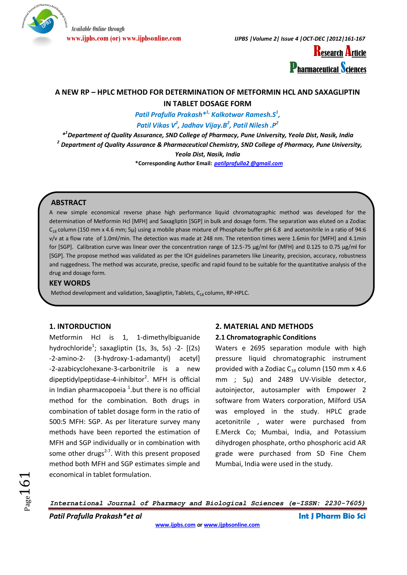

**www.ijpbs.com (or) www.ijpbsonline.com** *IJPBS |Volume 2| Issue 4 |OCT-DEC |2012|161-167*



# **A NEW RP – HPLC METHOD FOR DETERMINATION OF METFORMIN HCL AND SAXAGLIPTIN IN TABLET DOSAGE FORM**

*Patil Prafulla Prakash\*1, Kalkotwar Ramesh.S<sup>1</sup> , Patil Vikas V<sup>2</sup> , Jadhav Vijay.B<sup>2</sup> , Patil Nilesh .P<sup>2</sup>*

*\* 1 Department of Quality Assurance, SND College of Pharmacy, Pune University, Yeola Dist, Nasik, India 2 Department of Quality Assurance & Pharmaceutical Chemistry, SND College of Pharmacy, Pune University, Yeola Dist, Nasik, India*

**\*Corresponding Author Email:** *[patilprafulla2 @gmail.com](mailto:jagan.bhukya@yahoo.com)*

# **ABSTRACT**

A new simple economical reverse phase high performance liquid chromatographic method was developed for the determination of Metformin Hcl [MFH] and Saxagliptin [SGP] in bulk and dosage form. The separation was eluted on a Zodiac  $C_{18}$  column (150 mm x 4.6 mm; 5µ) using a mobile phase mixture of Phosphate buffer pH 6.8 and acetonitrile in a ratio of 94:6 v/v at a flow rate of 1.0ml/min. The detection was made at 248 nm. The retention times were 1.6min for [MFH] and 4.1min for [SGP]. Calibration curve was linear over the concentration range of 12.5-75 µg/ml for (MFH) and 0.125 to 0.75 µg/ml for [SGP]. The propose method was validated as per the ICH guidelines parameters like Linearity, precision, accuracy, robustness and ruggedness. The method was accurate, precise, specific and rapid found to be suitable for the quantitative analysis of the drug and dosage form.

#### **KEY WORDS**

Method development and validation, Saxagliptin, Tablets,  $C_{18}$  column, RP-HPLC.

# **1. INTORDUCTION**

Metformin Hcl is 1, 1-dimethylbiguanide hydrochloride<sup>1</sup>; saxagliptin  $(1s, 3s, 5s)$  -2-  $[(2s)$ ‐2‐amino‐2‐ (3‐hydroxy‐1‐adamantyl) acetyl] ‐2‐azabicyclohexane‐3‐carbonitrile is a new dipeptidylpeptidase-4-inhibitor<sup>2</sup>. MFH is official in Indian pharmacopoeia  $^1$ .but there is no official method for the combination. Both drugs in combination of tablet dosage form in the ratio of 500:5 MFH: SGP. As per literature survey many methods have been reported the estimation of MFH and SGP individually or in combination with some other drugs<sup>2-7</sup>. With this present proposed method both MFH and SGP estimates simple and economical in tablet formulation.

### **2. MATERIAL AND METHODS**

#### **2.1 Chromatographic Conditions**

Waters e 2695 separation module with high pressure liquid chromatographic instrument provided with a Zodiac  $C_{18}$  column (150 mm x 4.6 mm ; 5µ) and 2489 UV-Visible detector, autoinjector, autosampler with Empower 2 software from Waters corporation, Milford USA was employed in the study. HPLC grade acetonitrile , water were purchased from E.Merck Co; Mumbai, India, and Potassium dihydrogen phosphate, ortho phosphoric acid AR grade were purchased from SD Fine Chem Mumbai, India were used in the study.

 $Page161$ 

*International Journal of Pharmacy and Biological Sciences (e-ISSN: 2230-7605)*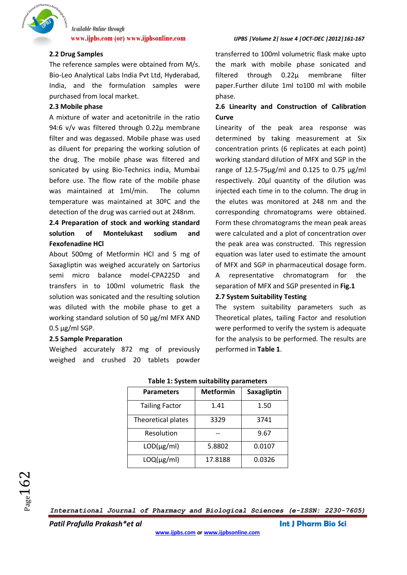

#### **2.2 Drug Samples**

The reference samples were obtained from M/s. Bio-Leo Analytical Labs India Pvt Ltd, Hyderabad, India, and the formulation samples were purchased from local market.

#### **2.3 Mobile phase**

A mixture of water and acetonitrile in the ratio 94:6 v/v was filtered through 0.22µ membrane filter and was degassed. Mobile phase was used as diluent for preparing the working solution of the drug. The mobile phase was filtered and sonicated by using Bio-Technics india, Mumbai before use. The flow rate of the mobile phase was maintained at 1ml/min. The column temperature was maintained at 30ºC and the detection of the drug was carried out at 248nm.

# **2.4 Preparation of stock and working standard solution of Montelukast sodium and Fexofenadine HCl**

About 500mg of Metformin HCl and 5 mg of Saxagliptin was weighed accurately on Sartorius semi micro balance model-CPA225D and transfers in to 100ml volumetric flask the solution was sonicated and the resulting solution was diluted with the mobile phase to get a working standard solution of 50 µg/ml MFX AND  $0.5 \,\mu g/ml$  SGP.

#### **2.5 Sample Preparation**

Weighed accurately 872 mg of previously weighed and crushed 20 tablets powder

#### **www.ijpbs.com (or) www.ijpbsonline.com** *IJPBS |Volume 2| Issue 4 |OCT-DEC |2012|161-167*

transferred to 100ml volumetric flask make upto the mark with mobile phase sonicated and filtered through 0.22µ membrane filter paper.Further dilute 1ml to100 ml with mobile phase.

# **2.6 Linearity and Construction of Calibration Curve**

Linearity of the peak area response was determined by taking measurement at Six concentration prints (6 replicates at each point) working standard dilution of MFX and SGP in the range of 12.5-75µg/ml and 0.125 to 0.75 µg/ml respectively. 20µl quantity of the dilution was injected each time in to the column. The drug in the elutes was monitored at 248 nm and the corresponding chromatograms were obtained. Form these chromatograms the mean peak areas were calculated and a plot of concentration over the peak area was constructed. This regression equation was later used to estimate the amount of MFX and SGP in pharmaceutical dosage form. A representative chromatogram for the separation of MFX and SGP presented in **Fig.1**

#### **2.7 System Suitability Testing**

The system suitability parameters such as Theoretical plates, tailing Factor and resolution were performed to verify the system is adequate for the analysis to be performed. The results are performed in **Table 1**.

| <b>Parameters</b>     | <b>Metformin</b> | Saxagliptin |  |
|-----------------------|------------------|-------------|--|
| <b>Tailing Factor</b> | 1.41             | 1.50        |  |
| Theoretical plates    | 3329             | 3741        |  |
| Resolution            |                  | 9.67        |  |
| $LOD(\mu g/ml)$       | 5.8802           | 0.0107      |  |
| $LOQ(\mu g/ml)$       | 17.8188          | 0.0326      |  |

*International Journal of Pharmacy and Biological Sciences (e-ISSN: 2230-7605)*

*Patil Prafulla Prakash\*et al* **Int J Pharm Bio Sci**

 $_{\rm Page}162$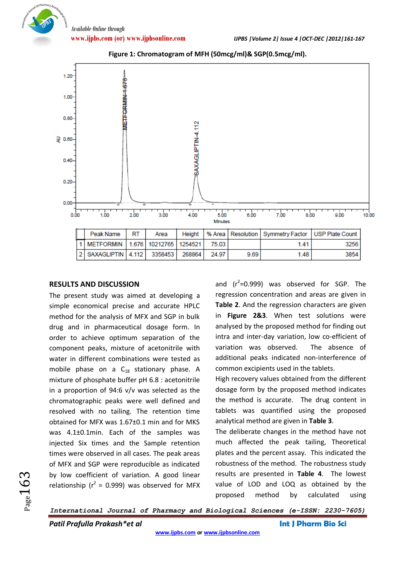Of Pharmacy



**Figure 1: Chromatogram of MFH (50mcg/ml)& SGP(0.5mcg/ml).**

#### **RESULTS AND DISCUSSION**

The present study was aimed at developing a simple economical precise and accurate HPLC method for the analysis of MFX and SGP in bulk drug and in pharmaceutical dosage form. In order to achieve optimum separation of the component peaks, mixture of acetonitrile with water in different combinations were tested as mobile phase on a  $C_{18}$  stationary phase. A mixture of phosphate buffer pH 6.8 : acetonitrile in a proportion of 94:6 v/v was selected as the chromatographic peaks were well defined and resolved with no tailing. The retention time obtained for MFX was 1.67±0.1 min and for MKS was 4.1±0.1min. Each of the samples was injected Six times and the Sample retention times were observed in all cases. The peak areas of MFX and SGP were reproducible as indicated by low coefficient of variation. A good linear relationship ( $r^2$  = 0.999) was observed for MFX

and  $(r^2=0.999)$  was observed for SGP. The regression concentration and areas are given in **Table 2**. And the regression characters are given in **Figure 2&3**. When test solutions were analysed by the proposed method for finding out intra and inter-day variation, low co-efficient of variation was observed. The absence of additional peaks indicated non-interference of common excipients used in the tablets.

High recovery values obtained from the different dosage form by the proposed method indicates the method is accurate. The drug content in tablets was quantified using the proposed analytical method are given in **Table 3**.

The deliberate changes in the method have not much affected the peak tailing, Theoretical plates and the percent assay. This indicated the robustness of the method. The robustness study results are presented in **Table 4**. The lowest value of LOD and LOQ as obtained by the proposed method by calculated using

*International Journal of Pharmacy and Biological Sciences (e-ISSN: 2230-7605)*

*Patil Prafulla Prakash\*et al* **Int J Pharm Bio Sci**

 $_{\rm Page}$ 163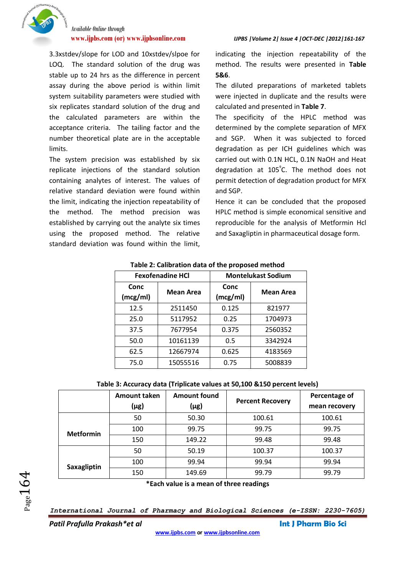

3.3xstdev/slope for LOD and 10xstdev/slpoe for LOQ. The standard solution of the drug was stable up to 24 hrs as the difference in percent assay during the above period is within limit system suitability parameters were studied with six replicates standard solution of the drug and the calculated parameters are within the acceptance criteria. The tailing factor and the number theoretical plate are in the acceptable limits.

The system precision was established by six replicate injections of the standard solution containing analytes of interest. The values of relative standard deviation were found within the limit, indicating the injection repeatability of the method. The method precision was established by carrying out the analyte six times using the proposed method. The relative standard deviation was found within the limit, indicating the injection repeatability of the method. The results were presented in **Table 5&6**.

The diluted preparations of marketed tablets were injected in duplicate and the results were calculated and presented in **Table 7**.

The specificity of the HPLC method was determined by the complete separation of MFX and SGP. When it was subjected to forced degradation as per ICH guidelines which was carried out with 0.1N HCL, 0.1N NaOH and Heat degradation at 105<sup>º</sup> C. The method does not permit detection of degradation product for MFX and SGP.

Hence it can be concluded that the proposed HPLC method is simple economical sensitive and reproducible for the analysis of Metformin Hcl and Saxagliptin in pharmaceutical dosage form.

| <b>Fexofenadine HCI</b> |                  | <b>Montelukast Sodium</b> |                  |  |
|-------------------------|------------------|---------------------------|------------------|--|
| Conc<br>(mcg/ml)        | <b>Mean Area</b> | Conc<br>(mcg/ml)          | <b>Mean Area</b> |  |
| 12.5                    | 2511450          | 0.125                     | 821977           |  |
| 25.0                    | 5117952          | 0.25                      | 1704973          |  |
| 37.5                    | 7677954          | 0.375                     | 2560352          |  |
| 50.0                    | 10161139         | 0.5                       | 3342924          |  |
| 62.5                    | 12667974         | 0.625                     | 4183569          |  |
| 75.0                    | 15055516         | 0.75                      | 5008839          |  |

**Table 2: Calibration data of the proposed method**

**Table 3: Accuracy data (Triplicate values at 50,100 &150 percent levels)**

|                  | Amount taken<br>$(\mu$ g) | <b>Amount found</b><br>$(\mu$ g)                                                                                                                                                                                                                                                                           | <b>Percent Recovery</b> | Percentage of<br>mean recovery |
|------------------|---------------------------|------------------------------------------------------------------------------------------------------------------------------------------------------------------------------------------------------------------------------------------------------------------------------------------------------------|-------------------------|--------------------------------|
|                  | 50                        | 50.30                                                                                                                                                                                                                                                                                                      | 100.61                  | 100.61                         |
| <b>Metformin</b> | 100                       | 99.75                                                                                                                                                                                                                                                                                                      | 99.75                   | 99.75                          |
|                  | 150                       | 149.22                                                                                                                                                                                                                                                                                                     | 99.48                   | 99.48                          |
|                  | 50                        | 50.19                                                                                                                                                                                                                                                                                                      | 100.37                  | 100.37                         |
| Saxagliptin      | 100                       | 99.94                                                                                                                                                                                                                                                                                                      | 99.94                   | 99.94                          |
|                  | 150                       | 149.69                                                                                                                                                                                                                                                                                                     | 99.79                   | 99.79                          |
|                  |                           | $\frac{1}{2}$ and $\frac{1}{2}$ and $\frac{1}{2}$ and $\frac{1}{2}$ and $\frac{1}{2}$ and $\frac{1}{2}$ and $\frac{1}{2}$ and $\frac{1}{2}$ and $\frac{1}{2}$ and $\frac{1}{2}$ and $\frac{1}{2}$ and $\frac{1}{2}$ and $\frac{1}{2}$ and $\frac{1}{2}$ and $\frac{1}{2}$ and $\frac{1}{2}$ a<br>$\bullet$ | . .                     |                                |

**\*Each value is a mean of three readings**

*Patil Prafulla Prakash\*et al* **Int J Pharm Bio Sci**

 $_{\rm Page}164$ 

*International Journal of Pharmacy and Biological Sciences (e-ISSN: 2230-7605)*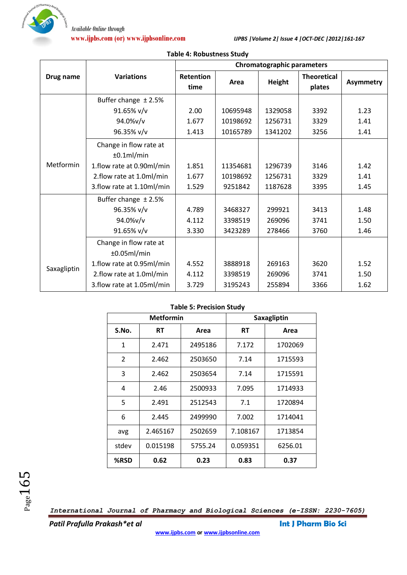

|             |                                      | <b>Chromatographic parameters</b> |          |               |                              |                  |
|-------------|--------------------------------------|-----------------------------------|----------|---------------|------------------------------|------------------|
| Drug name   | <b>Variations</b>                    | <b>Retention</b><br>time          | Area     | <b>Height</b> | <b>Theoretical</b><br>plates | <b>Asymmetry</b> |
|             | Buffer change $±2.5%$                |                                   |          |               |                              |                  |
|             | 91.65% v/v                           | 2.00                              | 10695948 | 1329058       | 3392                         | 1.23             |
|             | 94.0%v/v                             | 1.677                             | 10198692 | 1256731       | 3329                         | 1.41             |
|             | 96.35% v/v                           | 1.413                             | 10165789 | 1341202       | 3256                         | 1.41             |
|             | Change in flow rate at<br>±0.1ml/min |                                   |          |               |                              |                  |
| Metformin   | 1.flow rate at 0.90ml/min            | 1.851                             | 11354681 | 1296739       | 3146                         | 1.42             |
|             | 2.flow rate at 1.0ml/min             | 1.677                             | 10198692 | 1256731       | 3329                         | 1.41             |
|             | 3. flow rate at 1.10ml/min           | 1.529                             | 9251842  | 1187628       | 3395                         | 1.45             |
|             | Buffer change $±2.5%$                |                                   |          |               |                              |                  |
|             | 96.35% v/v                           | 4.789                             | 3468327  | 299921        | 3413                         | 1.48             |
|             | 94.0%v/v                             | 4.112                             | 3398519  | 269096        | 3741                         | 1.50             |
|             | 91.65% v/v                           | 3.330                             | 3423289  | 278466        | 3760                         | 1.46             |
|             | Change in flow rate at               |                                   |          |               |                              |                  |
|             | ±0.05ml/min                          |                                   |          |               |                              |                  |
| Saxagliptin | 1.flow rate at 0.95ml/min            | 4.552                             | 3888918  | 269163        | 3620                         | 1.52             |
|             | 2.flow rate at 1.0ml/min             | 4.112                             | 3398519  | 269096        | 3741                         | 1.50             |
|             | 3.flow rate at 1.05ml/min            | 3.729                             | 3195243  | 255894        | 3366                         | 1.62             |

#### **Table 4: Robustness Study**

# **Table 5: Precision Study**

| <b>Metformin</b> |          | Saxagliptin |          |         |
|------------------|----------|-------------|----------|---------|
| S.No.            | RT       | Area        | RT       | Area    |
| 1                | 2.471    | 2495186     | 7.172    | 1702069 |
| $\overline{2}$   | 2.462    | 2503650     | 7.14     | 1715593 |
| 3                | 2.462    | 2503654     | 7.14     | 1715591 |
| 4                | 2.46     | 2500933     | 7.095    | 1714933 |
| 5                | 2.491    | 2512543     | 7.1      | 1720894 |
| 6                | 2.445    | 2499990     | 7.002    | 1714041 |
| avg              | 2.465167 | 2502659     | 7.108167 | 1713854 |
| stdev            | 0.015198 | 5755.24     | 0.059351 | 6256.01 |
| %RSD             | 0.62     | 0.23        | 0.83     | 0.37    |

*International Journal of Pharmacy and Biological Sciences (e-ISSN: 2230-7605)*

*Patil Prafulla Prakash\*et al* **Int J Pharm Bio Sci**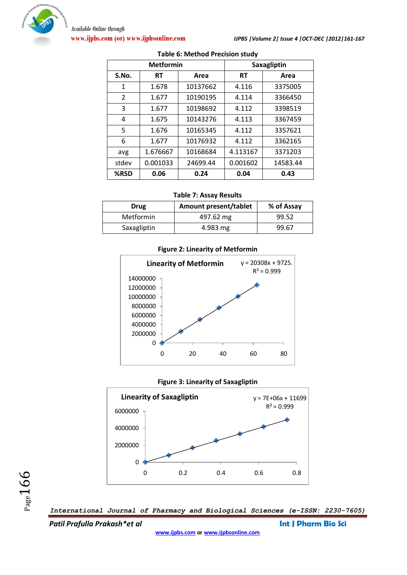

| <b>Metformin</b> |           |          | Saxagliptin       |          |
|------------------|-----------|----------|-------------------|----------|
| S.No.            | <b>RT</b> | Area     | <b>RT</b><br>Area |          |
| 1                | 1.678     | 10137662 | 4.116             | 3375005  |
| 2                | 1.677     | 10190195 | 4.114             | 3366450  |
| 3                | 1.677     | 10198692 | 4.112             | 3398519  |
| 4                | 1.675     | 10143276 | 4.113             | 3367459  |
| 5                | 1.676     | 10165345 | 4.112             | 3357621  |
| 6                | 1.677     | 10176932 | 4.112             | 3362165  |
| avg              | 1.676667  | 10168684 | 4.113167          | 3371203  |
| stdev            | 0.001033  | 24699.44 | 0.001602          | 14583.44 |
| %RSD             | 0.06      | 0.24     | 0.04              | 0.43     |

#### **Table 6: Method Precision study**

#### **Table 7: Assay Results**

| Drug        | Amount present/tablet | % of Assay |
|-------------|-----------------------|------------|
| Metformin   | 497.62 mg             | 99.52      |
| Saxagliptin | 4.983 mg              | 99.67      |

### **Figure 2: Linearity of Metformin**









*Patil Prafulla Prakash\*et al* **Int J Pharm Bio Sci**